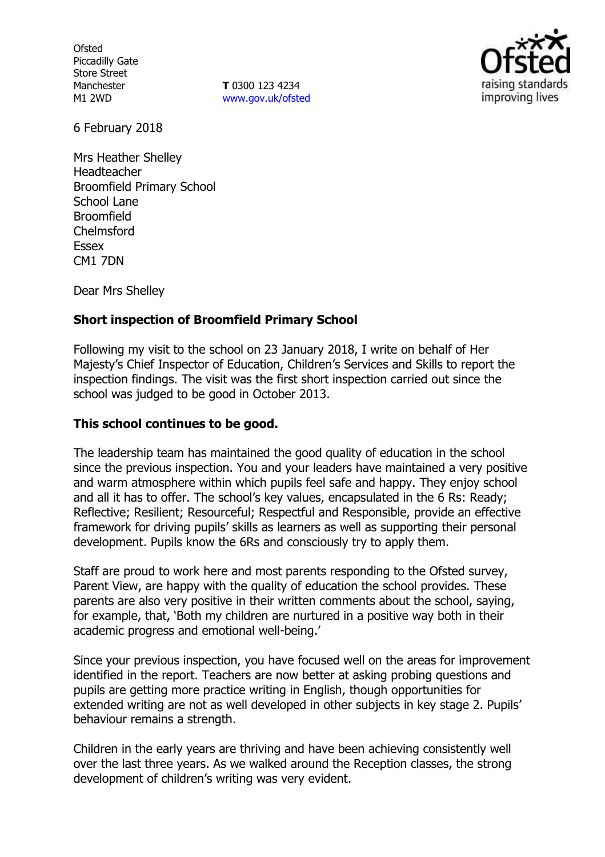**Ofsted** Piccadilly Gate Store Street Manchester M1 2WD

**T** 0300 123 4234 www.gov.uk/ofsted



6 February 2018

Mrs Heather Shelley Headteacher Broomfield Primary School School Lane Broomfield Chelmsford Essex CM1 7DN

Dear Mrs Shelley

### **Short inspection of Broomfield Primary School**

Following my visit to the school on 23 January 2018, I write on behalf of Her Majesty's Chief Inspector of Education, Children's Services and Skills to report the inspection findings. The visit was the first short inspection carried out since the school was judged to be good in October 2013.

### **This school continues to be good.**

The leadership team has maintained the good quality of education in the school since the previous inspection. You and your leaders have maintained a very positive and warm atmosphere within which pupils feel safe and happy. They enjoy school and all it has to offer. The school's key values, encapsulated in the 6 Rs: Ready; Reflective; Resilient; Resourceful; Respectful and Responsible, provide an effective framework for driving pupils' skills as learners as well as supporting their personal development. Pupils know the 6Rs and consciously try to apply them.

Staff are proud to work here and most parents responding to the Ofsted survey, Parent View, are happy with the quality of education the school provides. These parents are also very positive in their written comments about the school, saying, for example, that, 'Both my children are nurtured in a positive way both in their academic progress and emotional well-being.'

Since your previous inspection, you have focused well on the areas for improvement identified in the report. Teachers are now better at asking probing questions and pupils are getting more practice writing in English, though opportunities for extended writing are not as well developed in other subjects in key stage 2. Pupils' behaviour remains a strength.

Children in the early years are thriving and have been achieving consistently well over the last three years. As we walked around the Reception classes, the strong development of children's writing was very evident.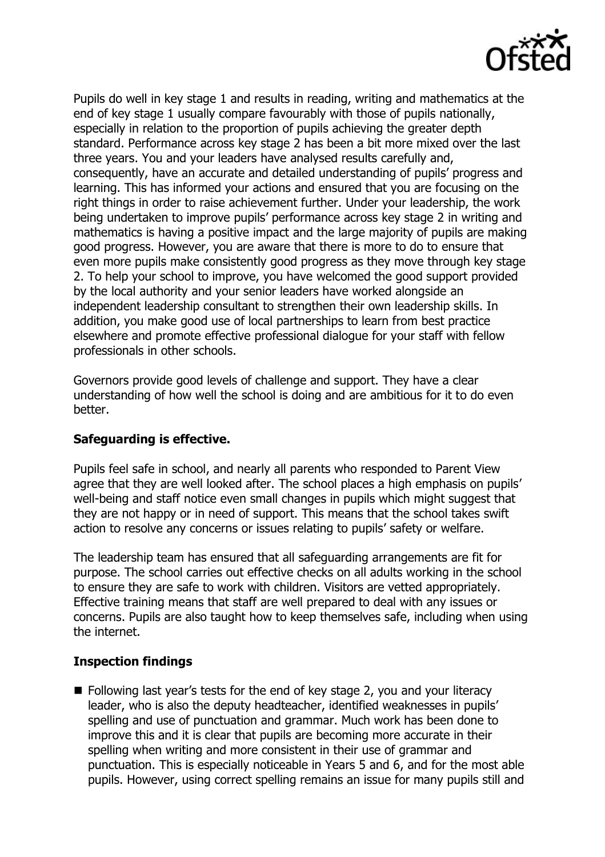

Pupils do well in key stage 1 and results in reading, writing and mathematics at the end of key stage 1 usually compare favourably with those of pupils nationally, especially in relation to the proportion of pupils achieving the greater depth standard. Performance across key stage 2 has been a bit more mixed over the last three years. You and your leaders have analysed results carefully and, consequently, have an accurate and detailed understanding of pupils' progress and learning. This has informed your actions and ensured that you are focusing on the right things in order to raise achievement further. Under your leadership, the work being undertaken to improve pupils' performance across key stage 2 in writing and mathematics is having a positive impact and the large majority of pupils are making good progress. However, you are aware that there is more to do to ensure that even more pupils make consistently good progress as they move through key stage 2. To help your school to improve, you have welcomed the good support provided by the local authority and your senior leaders have worked alongside an independent leadership consultant to strengthen their own leadership skills. In addition, you make good use of local partnerships to learn from best practice elsewhere and promote effective professional dialogue for your staff with fellow professionals in other schools.

Governors provide good levels of challenge and support. They have a clear understanding of how well the school is doing and are ambitious for it to do even better.

### **Safeguarding is effective.**

Pupils feel safe in school, and nearly all parents who responded to Parent View agree that they are well looked after. The school places a high emphasis on pupils' well-being and staff notice even small changes in pupils which might suggest that they are not happy or in need of support. This means that the school takes swift action to resolve any concerns or issues relating to pupils' safety or welfare.

The leadership team has ensured that all safeguarding arrangements are fit for purpose. The school carries out effective checks on all adults working in the school to ensure they are safe to work with children. Visitors are vetted appropriately. Effective training means that staff are well prepared to deal with any issues or concerns. Pupils are also taught how to keep themselves safe, including when using the internet.

# **Inspection findings**

**Following last year's tests for the end of key stage 2, you and your literacy** leader, who is also the deputy headteacher, identified weaknesses in pupils' spelling and use of punctuation and grammar. Much work has been done to improve this and it is clear that pupils are becoming more accurate in their spelling when writing and more consistent in their use of grammar and punctuation. This is especially noticeable in Years 5 and 6, and for the most able pupils. However, using correct spelling remains an issue for many pupils still and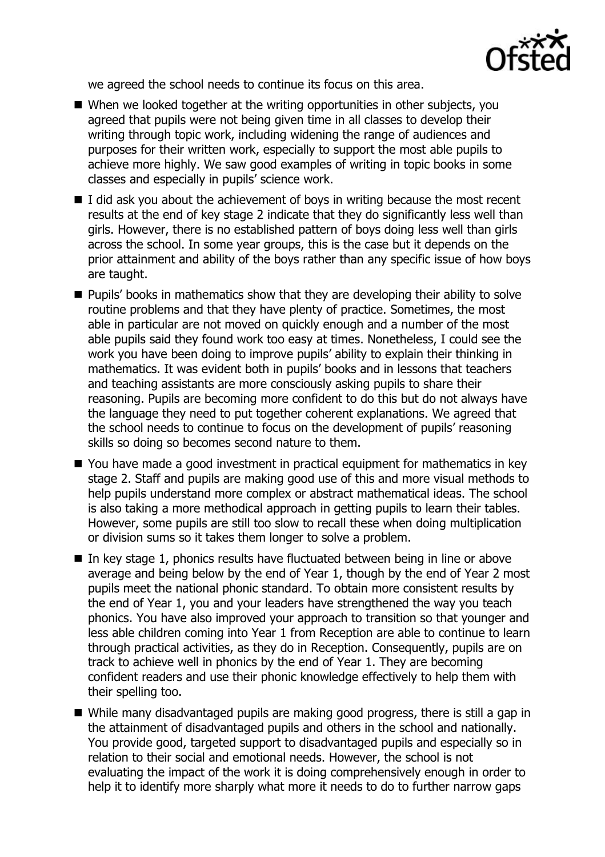

we agreed the school needs to continue its focus on this area.

- When we looked together at the writing opportunities in other subjects, you agreed that pupils were not being given time in all classes to develop their writing through topic work, including widening the range of audiences and purposes for their written work, especially to support the most able pupils to achieve more highly. We saw good examples of writing in topic books in some classes and especially in pupils' science work.
- $\blacksquare$  I did ask you about the achievement of boys in writing because the most recent results at the end of key stage 2 indicate that they do significantly less well than girls. However, there is no established pattern of boys doing less well than girls across the school. In some year groups, this is the case but it depends on the prior attainment and ability of the boys rather than any specific issue of how boys are taught.
- **Pupils' books in mathematics show that they are developing their ability to solve** routine problems and that they have plenty of practice. Sometimes, the most able in particular are not moved on quickly enough and a number of the most able pupils said they found work too easy at times. Nonetheless, I could see the work you have been doing to improve pupils' ability to explain their thinking in mathematics. It was evident both in pupils' books and in lessons that teachers and teaching assistants are more consciously asking pupils to share their reasoning. Pupils are becoming more confident to do this but do not always have the language they need to put together coherent explanations. We agreed that the school needs to continue to focus on the development of pupils' reasoning skills so doing so becomes second nature to them.
- You have made a good investment in practical equipment for mathematics in key stage 2. Staff and pupils are making good use of this and more visual methods to help pupils understand more complex or abstract mathematical ideas. The school is also taking a more methodical approach in getting pupils to learn their tables. However, some pupils are still too slow to recall these when doing multiplication or division sums so it takes them longer to solve a problem.
- $\blacksquare$  In key stage 1, phonics results have fluctuated between being in line or above average and being below by the end of Year 1, though by the end of Year 2 most pupils meet the national phonic standard. To obtain more consistent results by the end of Year 1, you and your leaders have strengthened the way you teach phonics. You have also improved your approach to transition so that younger and less able children coming into Year 1 from Reception are able to continue to learn through practical activities, as they do in Reception. Consequently, pupils are on track to achieve well in phonics by the end of Year 1. They are becoming confident readers and use their phonic knowledge effectively to help them with their spelling too.
- While many disadvantaged pupils are making good progress, there is still a gap in the attainment of disadvantaged pupils and others in the school and nationally. You provide good, targeted support to disadvantaged pupils and especially so in relation to their social and emotional needs. However, the school is not evaluating the impact of the work it is doing comprehensively enough in order to help it to identify more sharply what more it needs to do to further narrow gaps